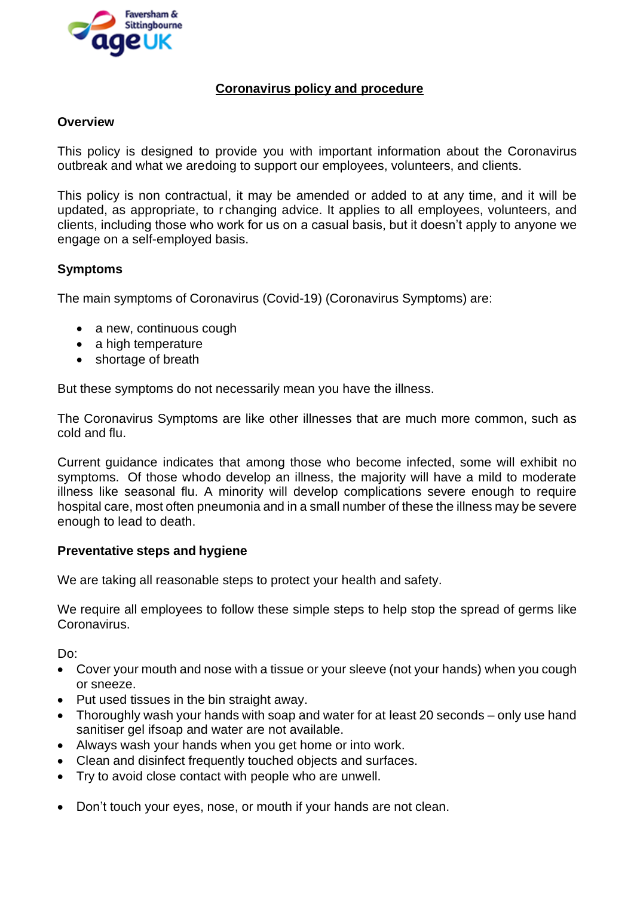

# **Coronavirus policy and procedure**

## **Overview**

This policy is designed to provide you with important information about the Coronavirus outbreak and what we aredoing to support our employees, volunteers, and clients.

This policy is non contractual, it may be amended or added to at any time, and it will be updated, as appropriate, to r changing advice. It applies to all employees, volunteers, and clients, including those who work for us on a casual basis, but it doesn't apply to anyone we engage on a self-employed basis.

## **Symptoms**

The main symptoms of Coronavirus (Covid-19) (Coronavirus Symptoms) are:

- a new, continuous cough
- a high temperature
- shortage of breath

But these symptoms do not necessarily mean you have the illness.

The Coronavirus Symptoms are like other illnesses that are much more common, such as cold and flu.

Current guidance indicates that among those who become infected, some will exhibit no symptoms. Of those whodo develop an illness, the majority will have a mild to moderate illness like seasonal flu. A minority will develop complications severe enough to require hospital care, most often pneumonia and in a small number of these the illness may be severe enough to lead to death.

#### **Preventative steps and hygiene**

We are taking all reasonable steps to protect your health and safety.

We require all employees to follow these simple steps to help stop the spread of germs like Coronavirus.

Do:

- Cover your mouth and nose with a tissue or your sleeve (not your hands) when you cough or sneeze.
- Put used tissues in the bin straight away.
- Thoroughly wash your hands with soap and water for at least 20 seconds only use hand sanitiser gel ifsoap and water are not available.
- Always wash your hands when you get home or into work.
- Clean and disinfect frequently touched objects and surfaces.
- Try to avoid close contact with people who are unwell.
- Don't touch your eyes, nose, or mouth if your hands are not clean.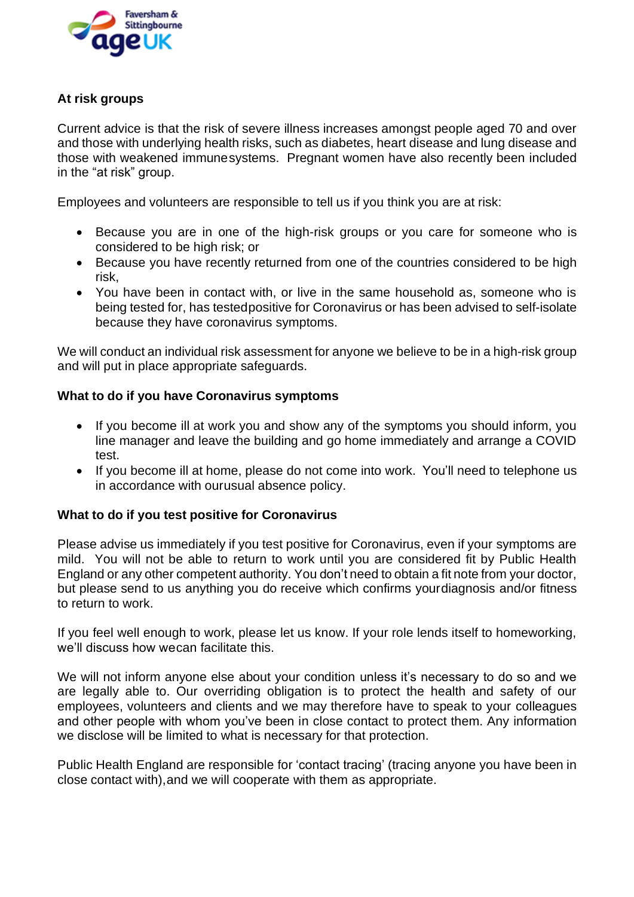

# **At risk groups**

Current advice is that the risk of severe illness increases amongst people aged 70 and over and those with underlying health risks, such as diabetes, heart disease and lung disease and those with weakened immunesystems. Pregnant women have also recently been included in the "at risk" group.

Employees and volunteers are responsible to tell us if you think you are at risk:

- Because you are in one of the high-risk groups or you care for someone who is considered to be high risk; or
- Because you have recently returned from one of the countries considered to be high risk,
- You have been in contact with, or live in the same household as, someone who is being tested for, has testedpositive for Coronavirus or has been advised to self-isolate because they have coronavirus symptoms.

We will conduct an individual risk assessment for anyone we believe to be in a high-risk group and will put in place appropriate safeguards.

## **What to do if you have Coronavirus symptoms**

- If you become ill at work you and show any of the symptoms you should inform, you line manager and leave the building and go home immediately and arrange a COVID test.
- If you become ill at home, please do not come into work. You'll need to telephone us in accordance with ourusual absence policy.

## **What to do if you test positive for Coronavirus**

Please advise us immediately if you test positive for Coronavirus, even if your symptoms are mild. You will not be able to return to work until you are considered fit by Public Health England or any other competent authority. You don't need to obtain a fit note from your doctor, but please send to us anything you do receive which confirms yourdiagnosis and/or fitness to return to work.

If you feel well enough to work, please let us know. If your role lends itself to homeworking, we'll discuss how wecan facilitate this.

We will not inform anyone else about your condition unless it's necessary to do so and we are legally able to. Our overriding obligation is to protect the health and safety of our employees, volunteers and clients and we may therefore have to speak to your colleagues and other people with whom you've been in close contact to protect them. Any information we disclose will be limited to what is necessary for that protection.

Public Health England are responsible for 'contact tracing' (tracing anyone you have been in close contact with),and we will cooperate with them as appropriate.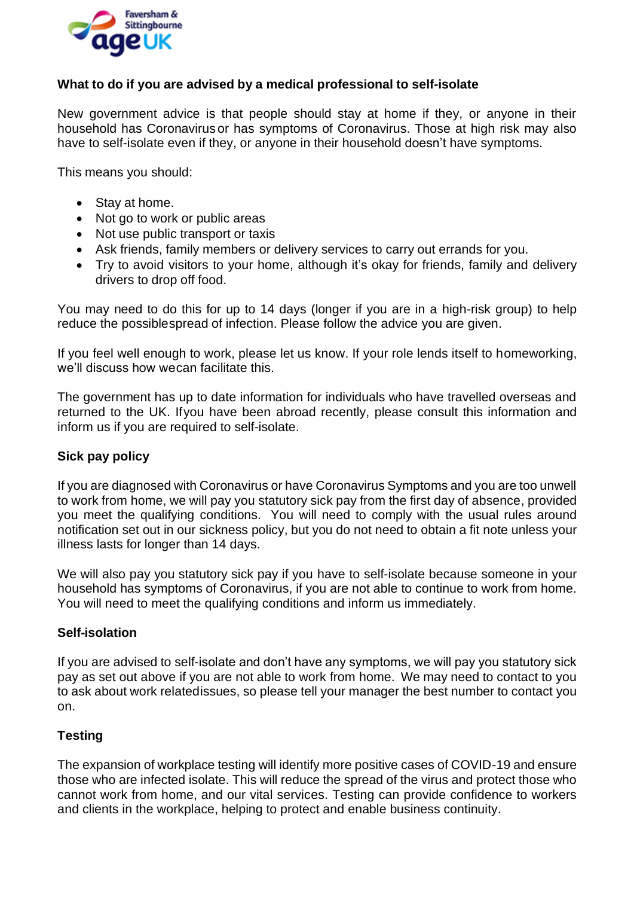

# **What to do if you are advised by a medical professional to self-isolate**

New government advice is that people should stay at home if they, or anyone in their household has Coronavirus or has symptoms of Coronavirus. Those at high risk may also have to self-isolate even if they, or anyone in their household doesn't have symptoms.

This means you should:

- Stay at home.
- Not go to work or public areas
- Not use public transport or taxis
- Ask friends, family members or delivery services to carry out errands for you.
- Try to avoid visitors to your home, although it's okay for friends, family and delivery drivers to drop off food.

You may need to do this for up to 14 days (longer if you are in a high-risk group) to help reduce the possiblespread of infection. Please follow the advice you are given.

If you feel well enough to work, please let us know. If your role lends itself to homeworking, we'll discuss how wecan facilitate this.

The government has up to date information for individuals who have travelled overseas and returned to the UK. Ifyou have been abroad recently, please consult this information and inform us if you are required to self-isolate.

## **Sick pay policy**

If you are diagnosed with Coronavirus or have Coronavirus Symptoms and you are too unwell to work from home, we will pay you statutory sick pay from the first day of absence, provided you meet the qualifying conditions. You will need to comply with the usual rules around notification set out in our sickness policy, but you do not need to obtain a fit note unless your illness lasts for longer than 14 days.

We will also pay you statutory sick pay if you have to self-isolate because someone in your household has symptoms of Coronavirus, if you are not able to continue to work from home. You will need to meet the qualifying conditions and inform us immediately.

## **Self-isolation**

If you are advised to self-isolate and don't have any symptoms, we will pay you statutory sick pay as set out above if you are not able to work from home. We may need to contact to you to ask about work relatedissues, so please tell your manager the best number to contact you on.

## **Testing**

The expansion of workplace testing will identify more positive cases of COVID-19 and ensure those who are infected isolate. This will reduce the spread of the virus and protect those who cannot work from home, and our vital services. Testing can provide confidence to workers and clients in the workplace, helping to protect and enable business continuity.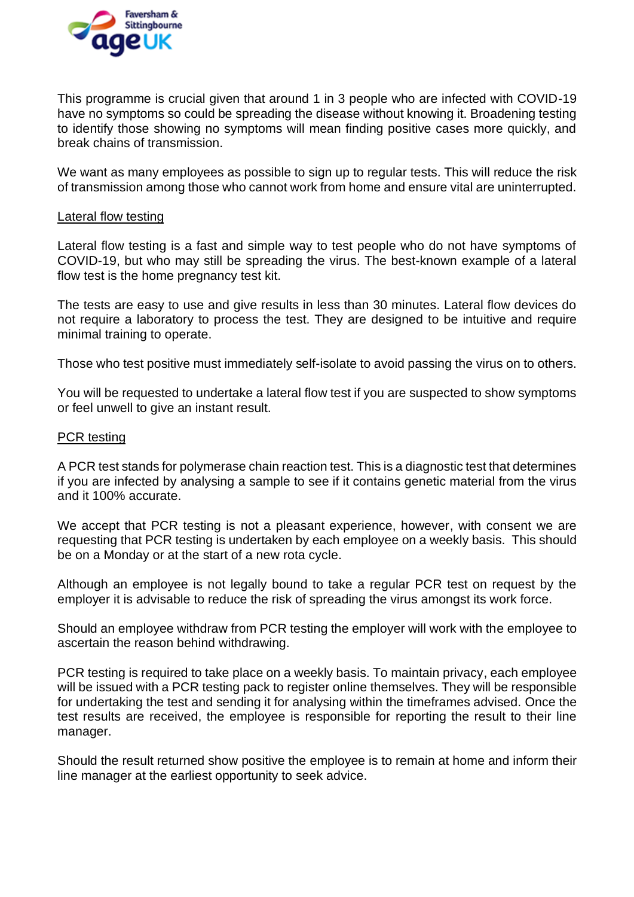

This programme is crucial given that around 1 in 3 people who are infected with COVID-19 have no symptoms so could be spreading the disease without knowing it. Broadening testing to identify those showing no symptoms will mean finding positive cases more quickly, and break chains of transmission.

We want as many employees as possible to sign up to regular tests. This will reduce the risk of transmission among those who cannot work from home and ensure vital are uninterrupted.

#### Lateral flow testing

Lateral flow testing is a fast and simple way to test people who do not have symptoms of COVID-19, but who may still be spreading the virus. The best-known example of a lateral flow test is the home pregnancy test kit.

The tests are easy to use and give results in less than 30 minutes. Lateral flow devices do not require a laboratory to process the test. They are designed to be intuitive and require minimal training to operate.

Those who test positive must immediately self-isolate to avoid passing the virus on to others.

You will be requested to undertake a lateral flow test if you are suspected to show symptoms or feel unwell to give an instant result.

#### PCR testing

A PCR test stands for polymerase chain reaction test. This is a diagnostic test that determines if you are infected by analysing a sample to see if it contains genetic material from the virus and it 100% accurate.

We accept that PCR testing is not a pleasant experience, however, with consent we are requesting that PCR testing is undertaken by each employee on a weekly basis. This should be on a Monday or at the start of a new rota cycle.

Although an employee is not legally bound to take a regular PCR test on request by the employer it is advisable to reduce the risk of spreading the virus amongst its work force.

Should an employee withdraw from PCR testing the employer will work with the employee to ascertain the reason behind withdrawing.

PCR testing is required to take place on a weekly basis. To maintain privacy, each employee will be issued with a PCR testing pack to register online themselves. They will be responsible for undertaking the test and sending it for analysing within the timeframes advised. Once the test results are received, the employee is responsible for reporting the result to their line manager.

Should the result returned show positive the employee is to remain at home and inform their line manager at the earliest opportunity to seek advice.